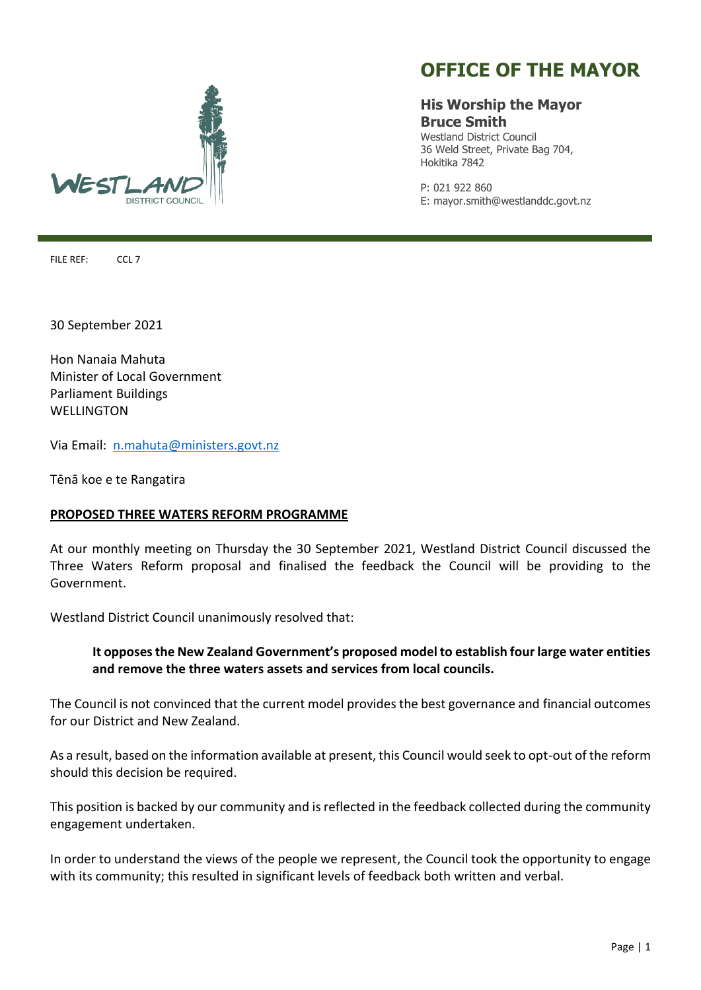

## **OFFICE OF THE MAYOR**

## **His Worship the Mayor Bruce Smith**

Westland District Council 36 Weld Street, Private Bag 704, Hokitika 7842

P: 021 922 860 E: mayor.smith@westlanddc.govt.nz

FILE REF: CCL 7

30 September 2021

Hon Nanaia Mahuta Minister of Local Government Parliament Buildings WELLINGTON

Via Email: [n.mahuta@ministers.govt.nz](mailto:n.mahuta@ministers.govt.nz)

Tēnā koe e te Rangatira

## **PROPOSED THREE WATERS REFORM PROGRAMME**

At our monthly meeting on Thursday the 30 September 2021, Westland District Council discussed the Three Waters Reform proposal and finalised the feedback the Council will be providing to the Government.

Westland District Council unanimously resolved that:

## **It opposes the New Zealand Government's proposed model to establish four large water entities and remove the three waters assets and services from local councils.**

The Council is not convinced that the current model provides the best governance and financial outcomes for our District and New Zealand.

As a result, based on the information available at present, this Council would seek to opt-out of the reform should this decision be required.

This position is backed by our community and is reflected in the feedback collected during the community engagement undertaken.

In order to understand the views of the people we represent, the Council took the opportunity to engage with its community; this resulted in significant levels of feedback both written and verbal.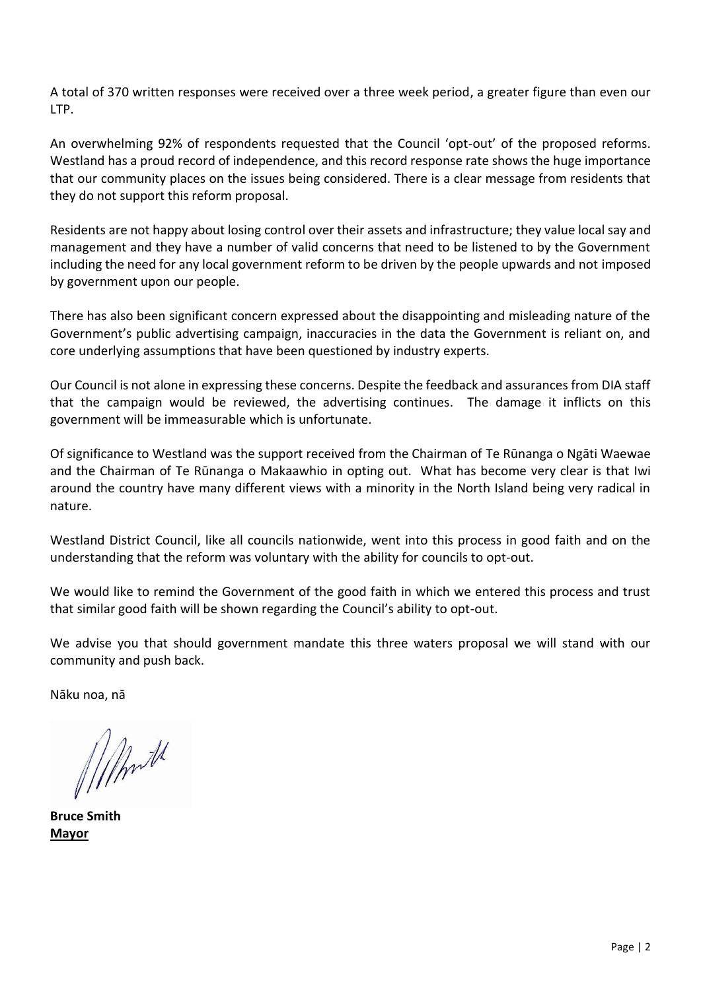A total of 370 written responses were received over a three week period, a greater figure than even our LTP.

An overwhelming 92% of respondents requested that the Council 'opt-out' of the proposed reforms. Westland has a proud record of independence, and this record response rate shows the huge importance that our community places on the issues being considered. There is a clear message from residents that they do not support this reform proposal.

Residents are not happy about losing control over their assets and infrastructure; they value local say and management and they have a number of valid concerns that need to be listened to by the Government including the need for any local government reform to be driven by the people upwards and not imposed by government upon our people.

There has also been significant concern expressed about the disappointing and misleading nature of the Government's public advertising campaign, inaccuracies in the data the Government is reliant on, and core underlying assumptions that have been questioned by industry experts.

Our Council is not alone in expressing these concerns. Despite the feedback and assurances from DIA staff that the campaign would be reviewed, the advertising continues. The damage it inflicts on this government will be immeasurable which is unfortunate.

Of significance to Westland was the support received from the Chairman of Te Rūnanga o Ngāti Waewae and the Chairman of Te Rūnanga o Makaawhio in opting out. What has become very clear is that Iwi around the country have many different views with a minority in the North Island being very radical in nature.

Westland District Council, like all councils nationwide, went into this process in good faith and on the understanding that the reform was voluntary with the ability for councils to opt-out.

We would like to remind the Government of the good faith in which we entered this process and trust that similar good faith will be shown regarding the Council's ability to opt-out.

We advise you that should government mandate this three waters proposal we will stand with our community and push back.

Nāku noa, nā

Mmt

**Bruce Smith Mayor**